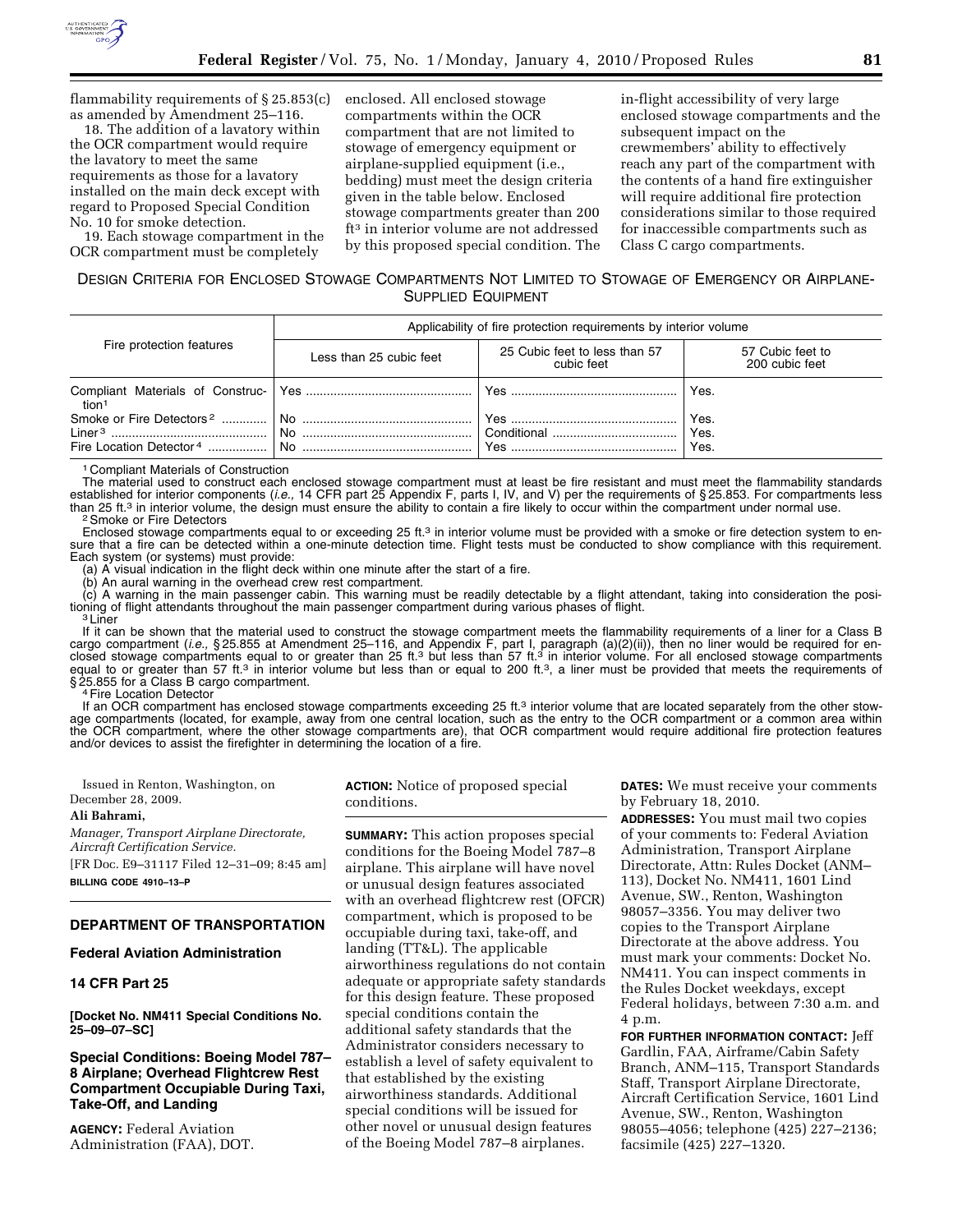

flammability requirements of § 25.853(c) as amended by Amendment 25–116.

18. The addition of a lavatory within the OCR compartment would require the lavatory to meet the same requirements as those for a lavatory installed on the main deck except with regard to Proposed Special Condition No. 10 for smoke detection.

19. Each stowage compartment in the OCR compartment must be completely

enclosed. All enclosed stowage compartments within the OCR compartment that are not limited to stowage of emergency equipment or airplane-supplied equipment (i.e., bedding) must meet the design criteria given in the table below. Enclosed stowage compartments greater than 200 ft3 in interior volume are not addressed by this proposed special condition. The

in-flight accessibility of very large enclosed stowage compartments and the subsequent impact on the crewmembers' ability to effectively reach any part of the compartment with the contents of a hand fire extinguisher will require additional fire protection considerations similar to those required for inaccessible compartments such as Class C cargo compartments.

# DESIGN CRITERIA FOR ENCLOSED STOWAGE COMPARTMENTS NOT LIMITED TO STOWAGE OF EMERGENCY OR AIRPLANE-SUPPLIED EQUIPMENT

| Fire protection features            | Applicability of fire protection requirements by interior volume                                                             |                                             |                                    |  |
|-------------------------------------|------------------------------------------------------------------------------------------------------------------------------|---------------------------------------------|------------------------------------|--|
|                                     | Less than 25 cubic feet                                                                                                      | 25 Cubic feet to less than 57<br>cubic feet | 57 Cubic feet to<br>200 cubic feet |  |
| tion1                               |                                                                                                                              | . Yes                                       | Yes.                               |  |
| Fire Location Detector <sup>4</sup> | No <u>manuelle</u> de la contratte de la contratte de la contratte de la contratte de la contratte de la contratte de<br>No. | Yes<br>Conditional<br>Yes.                  | Yes.<br>Yes.<br>Yes.               |  |

1 Compliant Materials of Construction

The material used to construct each enclosed stowage compartment must at least be fire resistant and must meet the flammability standards established for interior components (*i.e.,* 14 CFR part 25 Appendix F, parts I, IV, and V) per the requirements of § 25.853. For compartments less than 25 ft.<sup>3</sup> in interior volume, the design must ensure the ability to contain a fire likely to occur within the compartment under normal use.<br><sup>2</sup>Smoke or Fire Detectors

Enclosed stowage compartments equal to or exceeding 25 ft.<sup>3</sup> in interior volume must be provided with a smoke or fire detection system to ensure that a fire can be detected within a one-minute detection time. Flight tests must be conducted to show compliance with this requirement. Each system (or systems) must provide:

(a) A visual indication in the flight deck within one minute after the start of a fire.

(b) An aural warning in the overhead crew rest compartment.

(c) A warning in the main passenger cabin. This warning must be readily detectable by a flight attendant, taking into consideration the positioning of flight attendants throughout the main passenger compartment during various phases of flight.<br><sup>3</sup> Liner

If it can be shown that the material used to construct the stowage compartment meets the flammability requirements of a liner for a Class B cargo compartment (i.e., §25.855 at Amendment 25–116, and Appendix F, part I, paragraph (a)(2)(ii)), then no liner would be required for en-<br>closed stowage compartments equal to or greater than 25 ft.3 but less than 57 ft. equal to or greater than 57 ft.<sup>3</sup> in interior volume but less than or equal to 200 ft.<sup>3</sup>, a liner must be provided that meets the requirements of § 25.855 for a Class B cargo compartment.<br>4 Fire Location Detector

If an OCR compartment has enclosed stowage compartments exceeding 25 ft.<sup>3</sup> interior volume that are located separately from the other stowage compartments (located, for example, away from one central location, such as the entry to the OCR compartment or a common area within the OCR compartment, where the other stowage compartments are), that OCR compartment would require additional fire protection features and/or devices to assist the firefighter in determining the location of a fire.

Issued in Renton, Washington, on December 28, 2009.

#### **Ali Bahrami,**

*Manager, Transport Airplane Directorate, Aircraft Certification Service.* 

[FR Doc. E9–31117 Filed 12–31–09; 8:45 am] **BILLING CODE 4910–13–P** 

# **DEPARTMENT OF TRANSPORTATION**

### **Federal Aviation Administration**

### **14 CFR Part 25**

**[Docket No. NM411 Special Conditions No. 25–09–07–SC]** 

### **Special Conditions: Boeing Model 787– 8 Airplane; Overhead Flightcrew Rest Compartment Occupiable During Taxi, Take-Off, and Landing**

**AGENCY:** Federal Aviation Administration (FAA), DOT. **ACTION:** Notice of proposed special conditions.

**SUMMARY:** This action proposes special conditions for the Boeing Model 787–8 airplane. This airplane will have novel or unusual design features associated with an overhead flightcrew rest (OFCR) compartment, which is proposed to be occupiable during taxi, take-off, and landing (TT&L). The applicable airworthiness regulations do not contain adequate or appropriate safety standards for this design feature. These proposed special conditions contain the additional safety standards that the Administrator considers necessary to establish a level of safety equivalent to that established by the existing airworthiness standards. Additional special conditions will be issued for other novel or unusual design features of the Boeing Model 787–8 airplanes.

**DATES:** We must receive your comments by February 18, 2010.

**ADDRESSES:** You must mail two copies of your comments to: Federal Aviation Administration, Transport Airplane Directorate, Attn: Rules Docket (ANM– 113), Docket No. NM411, 1601 Lind Avenue, SW., Renton, Washington 98057–3356. You may deliver two copies to the Transport Airplane Directorate at the above address. You must mark your comments: Docket No. NM411. You can inspect comments in the Rules Docket weekdays, except Federal holidays, between 7:30 a.m. and 4 p.m.

**FOR FURTHER INFORMATION CONTACT:** Jeff Gardlin, FAA, Airframe/Cabin Safety Branch, ANM–115, Transport Standards Staff, Transport Airplane Directorate, Aircraft Certification Service, 1601 Lind Avenue, SW., Renton, Washington 98055–4056; telephone (425) 227–2136; facsimile (425) 227–1320.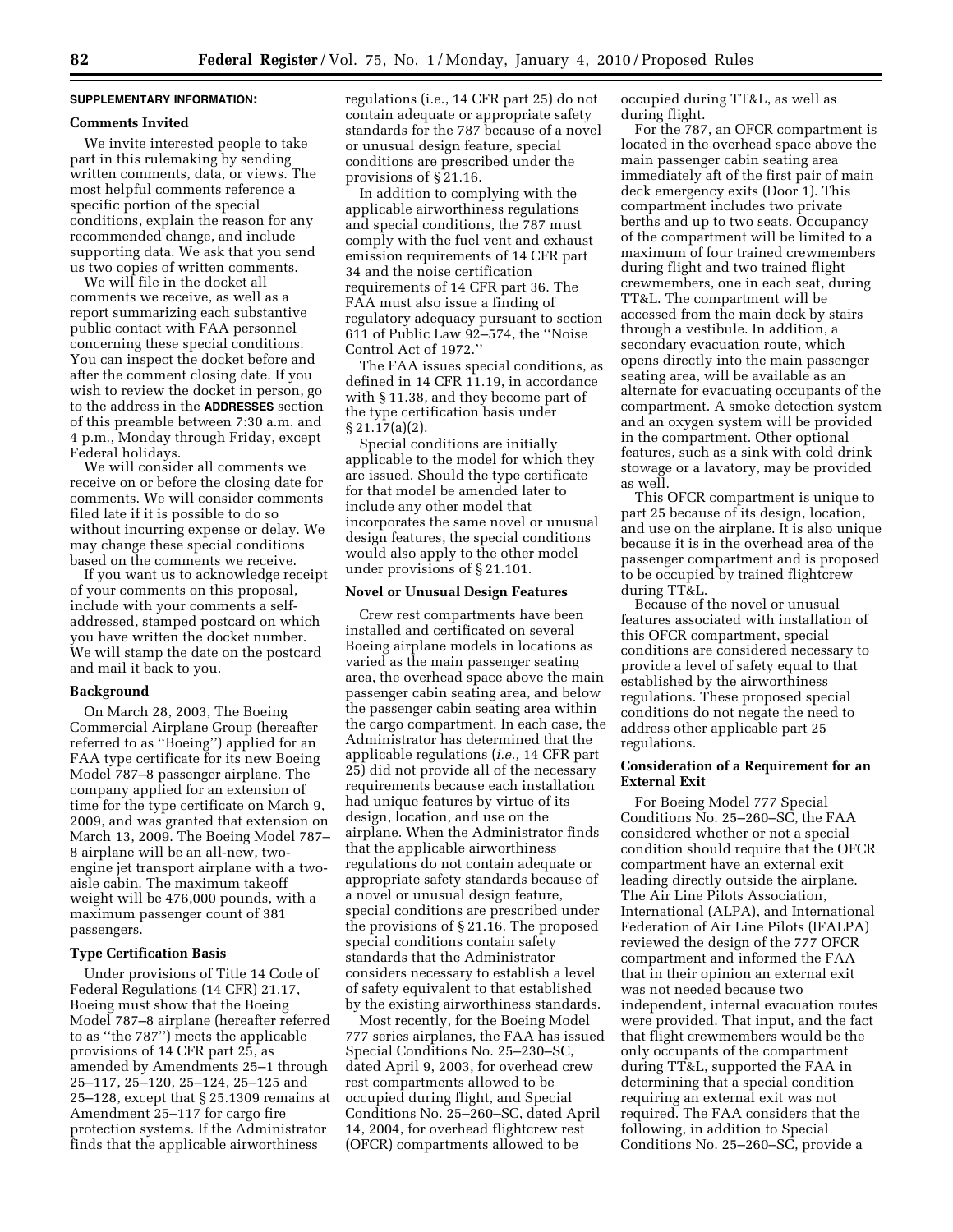# **SUPPLEMENTARY INFORMATION:**

### **Comments Invited**

We invite interested people to take part in this rulemaking by sending written comments, data, or views. The most helpful comments reference a specific portion of the special conditions, explain the reason for any recommended change, and include supporting data. We ask that you send us two copies of written comments.

We will file in the docket all comments we receive, as well as a report summarizing each substantive public contact with FAA personnel concerning these special conditions. You can inspect the docket before and after the comment closing date. If you wish to review the docket in person, go to the address in the **ADDRESSES** section of this preamble between 7:30 a.m. and 4 p.m., Monday through Friday, except Federal holidays.

We will consider all comments we receive on or before the closing date for comments. We will consider comments filed late if it is possible to do so without incurring expense or delay. We may change these special conditions based on the comments we receive.

If you want us to acknowledge receipt of your comments on this proposal, include with your comments a selfaddressed, stamped postcard on which you have written the docket number. We will stamp the date on the postcard and mail it back to you.

## **Background**

On March 28, 2003, The Boeing Commercial Airplane Group (hereafter referred to as ''Boeing'') applied for an FAA type certificate for its new Boeing Model 787–8 passenger airplane. The company applied for an extension of time for the type certificate on March 9, 2009, and was granted that extension on March 13, 2009. The Boeing Model 787– 8 airplane will be an all-new, twoengine jet transport airplane with a twoaisle cabin. The maximum takeoff weight will be 476,000 pounds, with a maximum passenger count of 381 passengers.

## **Type Certification Basis**

Under provisions of Title 14 Code of Federal Regulations (14 CFR) 21.17, Boeing must show that the Boeing Model 787–8 airplane (hereafter referred to as ''the 787'') meets the applicable provisions of 14 CFR part 25, as amended by Amendments 25–1 through 25–117, 25–120, 25–124, 25–125 and 25–128, except that § 25.1309 remains at Amendment 25–117 for cargo fire protection systems. If the Administrator finds that the applicable airworthiness

regulations (i.e., 14 CFR part 25) do not contain adequate or appropriate safety standards for the 787 because of a novel or unusual design feature, special conditions are prescribed under the provisions of § 21.16.

In addition to complying with the applicable airworthiness regulations and special conditions, the 787 must comply with the fuel vent and exhaust emission requirements of 14 CFR part 34 and the noise certification requirements of 14 CFR part 36. The FAA must also issue a finding of regulatory adequacy pursuant to section 611 of Public Law 92–574, the ''Noise Control Act of 1972.''

The FAA issues special conditions, as defined in 14 CFR 11.19, in accordance with § 11.38, and they become part of the type certification basis under § 21.17(a)(2).

Special conditions are initially applicable to the model for which they are issued. Should the type certificate for that model be amended later to include any other model that incorporates the same novel or unusual design features, the special conditions would also apply to the other model under provisions of § 21.101.

### **Novel or Unusual Design Features**

Crew rest compartments have been installed and certificated on several Boeing airplane models in locations as varied as the main passenger seating area, the overhead space above the main passenger cabin seating area, and below the passenger cabin seating area within the cargo compartment. In each case, the Administrator has determined that the applicable regulations (*i.e.,* 14 CFR part 25) did not provide all of the necessary requirements because each installation had unique features by virtue of its design, location, and use on the airplane. When the Administrator finds that the applicable airworthiness regulations do not contain adequate or appropriate safety standards because of a novel or unusual design feature, special conditions are prescribed under the provisions of § 21.16. The proposed special conditions contain safety standards that the Administrator considers necessary to establish a level of safety equivalent to that established by the existing airworthiness standards.

Most recently, for the Boeing Model 777 series airplanes, the FAA has issued Special Conditions No. 25–230–SC, dated April 9, 2003, for overhead crew rest compartments allowed to be occupied during flight, and Special Conditions No. 25–260–SC, dated April 14, 2004, for overhead flightcrew rest (OFCR) compartments allowed to be

occupied during TT&L, as well as during flight.

For the 787, an OFCR compartment is located in the overhead space above the main passenger cabin seating area immediately aft of the first pair of main deck emergency exits (Door 1). This compartment includes two private berths and up to two seats. Occupancy of the compartment will be limited to a maximum of four trained crewmembers during flight and two trained flight crewmembers, one in each seat, during TT&L. The compartment will be accessed from the main deck by stairs through a vestibule. In addition, a secondary evacuation route, which opens directly into the main passenger seating area, will be available as an alternate for evacuating occupants of the compartment. A smoke detection system and an oxygen system will be provided in the compartment. Other optional features, such as a sink with cold drink stowage or a lavatory, may be provided as well.

This OFCR compartment is unique to part 25 because of its design, location, and use on the airplane. It is also unique because it is in the overhead area of the passenger compartment and is proposed to be occupied by trained flightcrew during TT&L.

Because of the novel or unusual features associated with installation of this OFCR compartment, special conditions are considered necessary to provide a level of safety equal to that established by the airworthiness regulations. These proposed special conditions do not negate the need to address other applicable part 25 regulations.

### **Consideration of a Requirement for an External Exit**

For Boeing Model 777 Special Conditions No. 25–260–SC, the FAA considered whether or not a special condition should require that the OFCR compartment have an external exit leading directly outside the airplane. The Air Line Pilots Association, International (ALPA), and International Federation of Air Line Pilots (IFALPA) reviewed the design of the 777 OFCR compartment and informed the FAA that in their opinion an external exit was not needed because two independent, internal evacuation routes were provided. That input, and the fact that flight crewmembers would be the only occupants of the compartment during TT&L, supported the FAA in determining that a special condition requiring an external exit was not required. The FAA considers that the following, in addition to Special Conditions No. 25–260–SC, provide a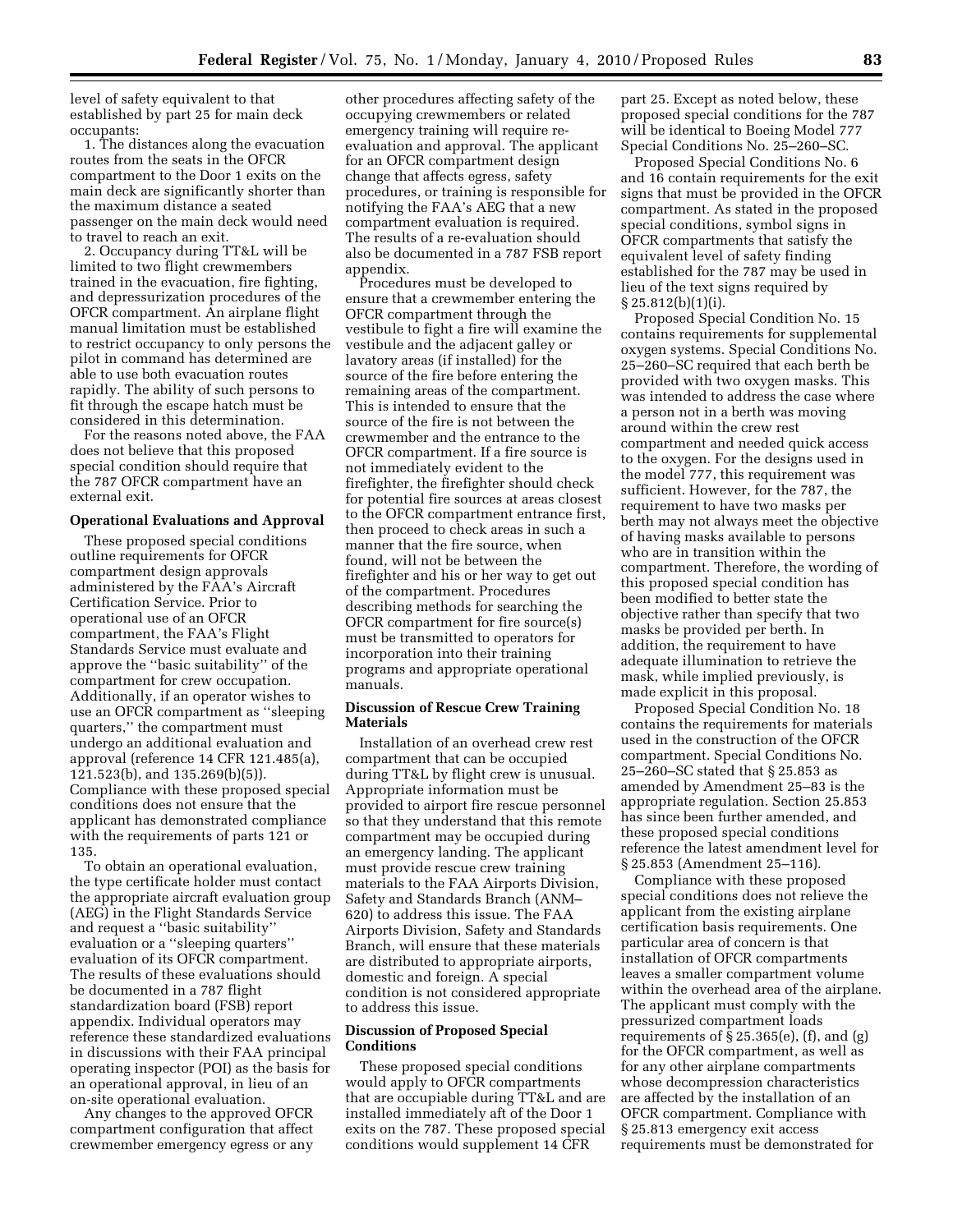level of safety equivalent to that established by part 25 for main deck occupants:

1. The distances along the evacuation routes from the seats in the OFCR compartment to the Door 1 exits on the main deck are significantly shorter than the maximum distance a seated passenger on the main deck would need to travel to reach an exit.

2. Occupancy during TT&L will be limited to two flight crewmembers trained in the evacuation, fire fighting, and depressurization procedures of the OFCR compartment. An airplane flight manual limitation must be established to restrict occupancy to only persons the pilot in command has determined are able to use both evacuation routes rapidly. The ability of such persons to fit through the escape hatch must be considered in this determination.

For the reasons noted above, the FAA does not believe that this proposed special condition should require that the 787 OFCR compartment have an external exit.

### **Operational Evaluations and Approval**

These proposed special conditions outline requirements for OFCR compartment design approvals administered by the FAA's Aircraft Certification Service. Prior to operational use of an OFCR compartment, the FAA's Flight Standards Service must evaluate and approve the ''basic suitability'' of the compartment for crew occupation. Additionally, if an operator wishes to use an OFCR compartment as ''sleeping quarters,'' the compartment must undergo an additional evaluation and approval (reference 14 CFR 121.485(a), 121.523(b), and 135.269(b)(5)). Compliance with these proposed special conditions does not ensure that the applicant has demonstrated compliance with the requirements of parts 121 or 135.

To obtain an operational evaluation, the type certificate holder must contact the appropriate aircraft evaluation group (AEG) in the Flight Standards Service and request a ''basic suitability'' evaluation or a ''sleeping quarters'' evaluation of its OFCR compartment. The results of these evaluations should be documented in a 787 flight standardization board (FSB) report appendix. Individual operators may reference these standardized evaluations in discussions with their FAA principal operating inspector (POI) as the basis for an operational approval, in lieu of an on-site operational evaluation.

Any changes to the approved OFCR compartment configuration that affect crewmember emergency egress or any

other procedures affecting safety of the occupying crewmembers or related emergency training will require reevaluation and approval. The applicant for an OFCR compartment design change that affects egress, safety procedures, or training is responsible for notifying the FAA's AEG that a new compartment evaluation is required. The results of a re-evaluation should also be documented in a 787 FSB report appendix.

Procedures must be developed to ensure that a crewmember entering the OFCR compartment through the vestibule to fight a fire will examine the vestibule and the adjacent galley or lavatory areas (if installed) for the source of the fire before entering the remaining areas of the compartment. This is intended to ensure that the source of the fire is not between the crewmember and the entrance to the OFCR compartment. If a fire source is not immediately evident to the firefighter, the firefighter should check for potential fire sources at areas closest to the OFCR compartment entrance first, then proceed to check areas in such a manner that the fire source, when found, will not be between the firefighter and his or her way to get out of the compartment. Procedures describing methods for searching the OFCR compartment for fire source(s) must be transmitted to operators for incorporation into their training programs and appropriate operational manuals.

### **Discussion of Rescue Crew Training Materials**

Installation of an overhead crew rest compartment that can be occupied during TT&L by flight crew is unusual. Appropriate information must be provided to airport fire rescue personnel so that they understand that this remote compartment may be occupied during an emergency landing. The applicant must provide rescue crew training materials to the FAA Airports Division, Safety and Standards Branch (ANM– 620) to address this issue. The FAA Airports Division, Safety and Standards Branch, will ensure that these materials are distributed to appropriate airports, domestic and foreign. A special condition is not considered appropriate to address this issue.

### **Discussion of Proposed Special Conditions**

These proposed special conditions would apply to OFCR compartments that are occupiable during TT&L and are installed immediately aft of the Door 1 exits on the 787. These proposed special conditions would supplement 14 CFR

part 25. Except as noted below, these proposed special conditions for the 787 will be identical to Boeing Model 777 Special Conditions No. 25–260–SC.

Proposed Special Conditions No. 6 and 16 contain requirements for the exit signs that must be provided in the OFCR compartment. As stated in the proposed special conditions, symbol signs in OFCR compartments that satisfy the equivalent level of safety finding established for the 787 may be used in lieu of the text signs required by § 25.812(b)(1)(i).

Proposed Special Condition No. 15 contains requirements for supplemental oxygen systems. Special Conditions No. 25–260–SC required that each berth be provided with two oxygen masks. This was intended to address the case where a person not in a berth was moving around within the crew rest compartment and needed quick access to the oxygen. For the designs used in the model 777, this requirement was sufficient. However, for the 787, the requirement to have two masks per berth may not always meet the objective of having masks available to persons who are in transition within the compartment. Therefore, the wording of this proposed special condition has been modified to better state the objective rather than specify that two masks be provided per berth. In addition, the requirement to have adequate illumination to retrieve the mask, while implied previously, is made explicit in this proposal.

Proposed Special Condition No. 18 contains the requirements for materials used in the construction of the OFCR compartment. Special Conditions No. 25–260–SC stated that § 25.853 as amended by Amendment 25–83 is the appropriate regulation. Section 25.853 has since been further amended, and these proposed special conditions reference the latest amendment level for § 25.853 (Amendment 25–116).

Compliance with these proposed special conditions does not relieve the applicant from the existing airplane certification basis requirements. One particular area of concern is that installation of OFCR compartments leaves a smaller compartment volume within the overhead area of the airplane. The applicant must comply with the pressurized compartment loads requirements of  $\S 25.365(e)$ , (f), and (g) for the OFCR compartment, as well as for any other airplane compartments whose decompression characteristics are affected by the installation of an OFCR compartment. Compliance with § 25.813 emergency exit access requirements must be demonstrated for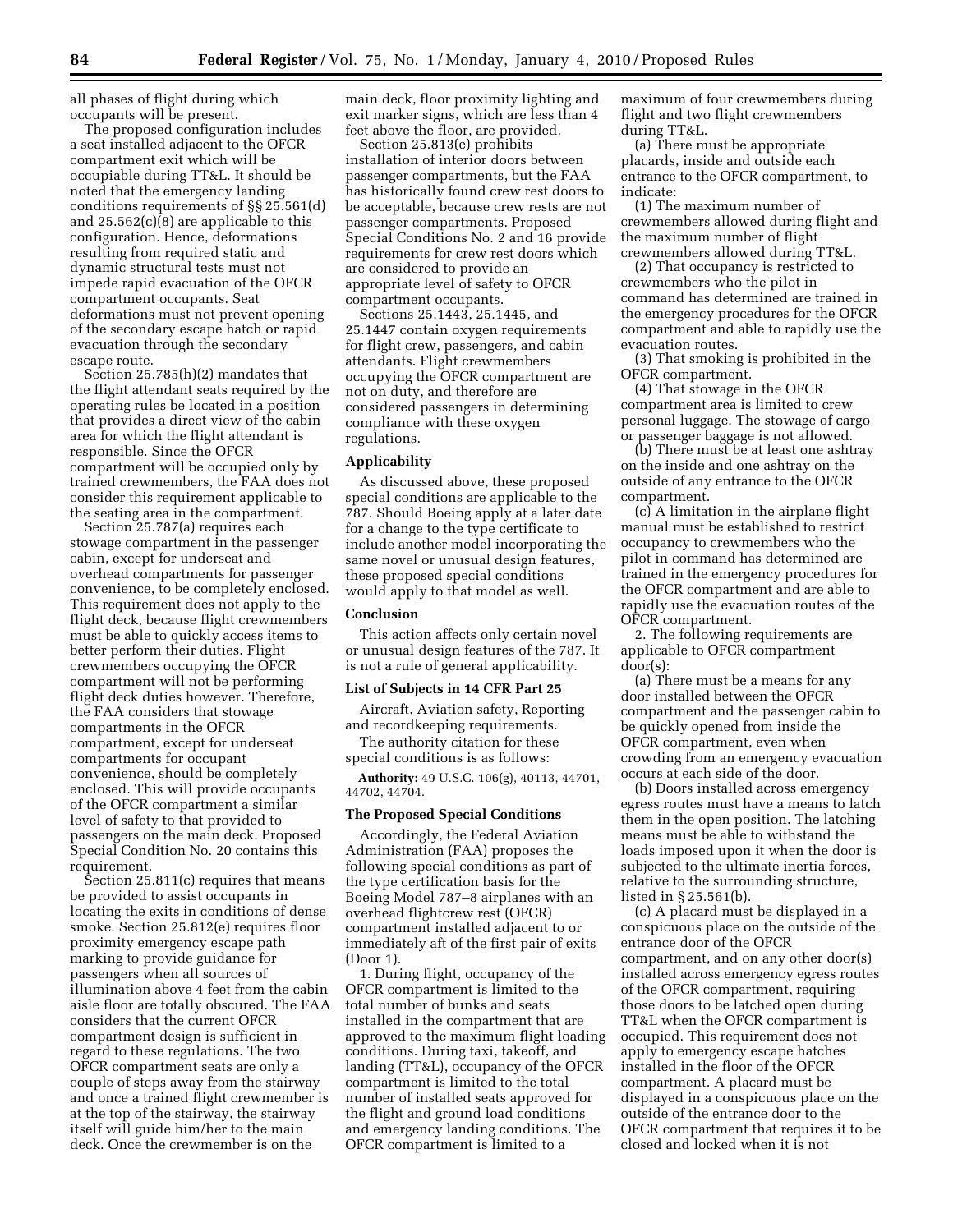all phases of flight during which occupants will be present.

The proposed configuration includes a seat installed adjacent to the OFCR compartment exit which will be occupiable during TT&L. It should be noted that the emergency landing conditions requirements of §§ 25.561(d) and 25.562(c)(8) are applicable to this configuration. Hence, deformations resulting from required static and dynamic structural tests must not impede rapid evacuation of the OFCR compartment occupants. Seat deformations must not prevent opening of the secondary escape hatch or rapid evacuation through the secondary escape route.

Section 25.785(h)(2) mandates that the flight attendant seats required by the operating rules be located in a position that provides a direct view of the cabin area for which the flight attendant is responsible. Since the OFCR compartment will be occupied only by trained crewmembers, the FAA does not consider this requirement applicable to the seating area in the compartment.

Section 25.787(a) requires each stowage compartment in the passenger cabin, except for underseat and overhead compartments for passenger convenience, to be completely enclosed. This requirement does not apply to the flight deck, because flight crewmembers must be able to quickly access items to better perform their duties. Flight crewmembers occupying the OFCR compartment will not be performing flight deck duties however. Therefore, the FAA considers that stowage compartments in the OFCR compartment, except for underseat compartments for occupant convenience, should be completely enclosed. This will provide occupants of the OFCR compartment a similar level of safety to that provided to passengers on the main deck. Proposed Special Condition No. 20 contains this requirement.

Section 25.811(c) requires that means be provided to assist occupants in locating the exits in conditions of dense smoke. Section 25.812(e) requires floor proximity emergency escape path marking to provide guidance for passengers when all sources of illumination above 4 feet from the cabin aisle floor are totally obscured. The FAA considers that the current OFCR compartment design is sufficient in regard to these regulations. The two OFCR compartment seats are only a couple of steps away from the stairway and once a trained flight crewmember is at the top of the stairway, the stairway itself will guide him/her to the main deck. Once the crewmember is on the

main deck, floor proximity lighting and exit marker signs, which are less than 4 feet above the floor, are provided.

Section 25.813(e) prohibits installation of interior doors between passenger compartments, but the FAA has historically found crew rest doors to be acceptable, because crew rests are not passenger compartments. Proposed Special Conditions No. 2 and 16 provide requirements for crew rest doors which are considered to provide an appropriate level of safety to OFCR compartment occupants.

Sections 25.1443, 25.1445, and 25.1447 contain oxygen requirements for flight crew, passengers, and cabin attendants. Flight crewmembers occupying the OFCR compartment are not on duty, and therefore are considered passengers in determining compliance with these oxygen regulations.

#### **Applicability**

As discussed above, these proposed special conditions are applicable to the 787. Should Boeing apply at a later date for a change to the type certificate to include another model incorporating the same novel or unusual design features, these proposed special conditions would apply to that model as well.

### **Conclusion**

This action affects only certain novel or unusual design features of the 787. It is not a rule of general applicability.

#### **List of Subjects in 14 CFR Part 25**

Aircraft, Aviation safety, Reporting and recordkeeping requirements.

The authority citation for these special conditions is as follows:

**Authority:** 49 U.S.C. 106(g), 40113, 44701, 44702, 44704.

### **The Proposed Special Conditions**

Accordingly, the Federal Aviation Administration (FAA) proposes the following special conditions as part of the type certification basis for the Boeing Model 787–8 airplanes with an overhead flightcrew rest (OFCR) compartment installed adjacent to or immediately aft of the first pair of exits (Door 1).

1. During flight, occupancy of the OFCR compartment is limited to the total number of bunks and seats installed in the compartment that are approved to the maximum flight loading conditions. During taxi, takeoff, and landing (TT&L), occupancy of the OFCR compartment is limited to the total number of installed seats approved for the flight and ground load conditions and emergency landing conditions. The OFCR compartment is limited to a

maximum of four crewmembers during flight and two flight crewmembers during TT&L.

(a) There must be appropriate placards, inside and outside each entrance to the OFCR compartment, to indicate:

(1) The maximum number of crewmembers allowed during flight and the maximum number of flight crewmembers allowed during TT&L.

(2) That occupancy is restricted to crewmembers who the pilot in command has determined are trained in the emergency procedures for the OFCR compartment and able to rapidly use the evacuation routes.

(3) That smoking is prohibited in the OFCR compartment.

(4) That stowage in the OFCR compartment area is limited to crew personal luggage. The stowage of cargo or passenger baggage is not allowed.

(b) There must be at least one ashtray on the inside and one ashtray on the outside of any entrance to the OFCR compartment.

(c) A limitation in the airplane flight manual must be established to restrict occupancy to crewmembers who the pilot in command has determined are trained in the emergency procedures for the OFCR compartment and are able to rapidly use the evacuation routes of the OFCR compartment.

2. The following requirements are applicable to OFCR compartment door(s):

(a) There must be a means for any door installed between the OFCR compartment and the passenger cabin to be quickly opened from inside the OFCR compartment, even when crowding from an emergency evacuation occurs at each side of the door.

(b) Doors installed across emergency egress routes must have a means to latch them in the open position. The latching means must be able to withstand the loads imposed upon it when the door is subjected to the ultimate inertia forces, relative to the surrounding structure, listed in § 25.561(b).

(c) A placard must be displayed in a conspicuous place on the outside of the entrance door of the OFCR compartment, and on any other door(s) installed across emergency egress routes of the OFCR compartment, requiring those doors to be latched open during TT&L when the OFCR compartment is occupied. This requirement does not apply to emergency escape hatches installed in the floor of the OFCR compartment. A placard must be displayed in a conspicuous place on the outside of the entrance door to the OFCR compartment that requires it to be closed and locked when it is not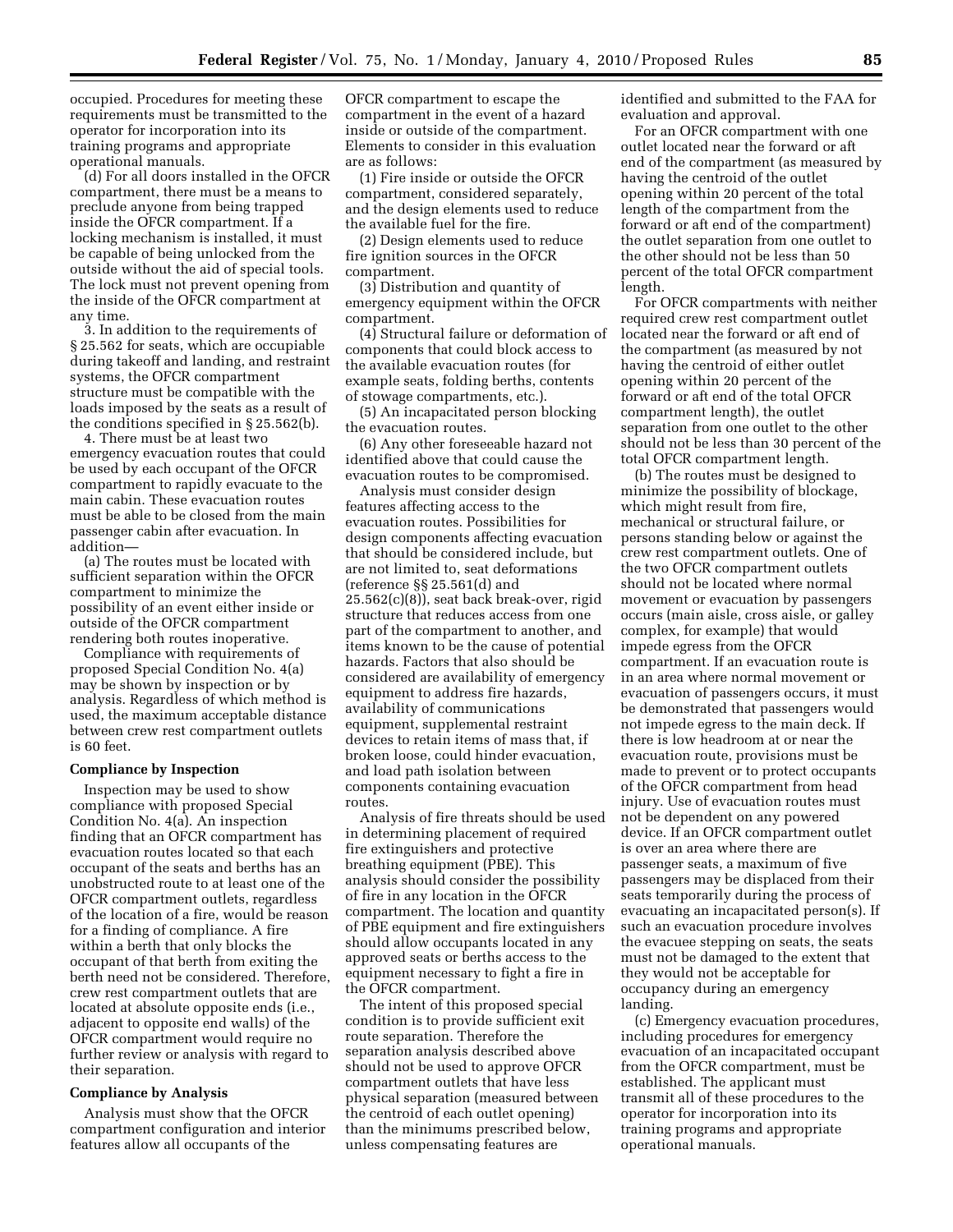occupied. Procedures for meeting these requirements must be transmitted to the operator for incorporation into its training programs and appropriate operational manuals.

(d) For all doors installed in the OFCR compartment, there must be a means to preclude anyone from being trapped inside the OFCR compartment. If a locking mechanism is installed, it must be capable of being unlocked from the outside without the aid of special tools. The lock must not prevent opening from the inside of the OFCR compartment at any time.

3. In addition to the requirements of § 25.562 for seats, which are occupiable during takeoff and landing, and restraint systems, the OFCR compartment structure must be compatible with the loads imposed by the seats as a result of the conditions specified in § 25.562(b).

4. There must be at least two emergency evacuation routes that could be used by each occupant of the OFCR compartment to rapidly evacuate to the main cabin. These evacuation routes must be able to be closed from the main passenger cabin after evacuation. In addition—

(a) The routes must be located with sufficient separation within the OFCR compartment to minimize the possibility of an event either inside or outside of the OFCR compartment rendering both routes inoperative.

Compliance with requirements of proposed Special Condition No. 4(a) may be shown by inspection or by analysis. Regardless of which method is used, the maximum acceptable distance between crew rest compartment outlets is 60 feet.

#### **Compliance by Inspection**

Inspection may be used to show compliance with proposed Special Condition No. 4(a). An inspection finding that an OFCR compartment has evacuation routes located so that each occupant of the seats and berths has an unobstructed route to at least one of the OFCR compartment outlets, regardless of the location of a fire, would be reason for a finding of compliance. A fire within a berth that only blocks the occupant of that berth from exiting the berth need not be considered. Therefore, crew rest compartment outlets that are located at absolute opposite ends (i.e., adjacent to opposite end walls) of the OFCR compartment would require no further review or analysis with regard to their separation.

### **Compliance by Analysis**

Analysis must show that the OFCR compartment configuration and interior features allow all occupants of the

OFCR compartment to escape the compartment in the event of a hazard inside or outside of the compartment. Elements to consider in this evaluation are as follows:

(1) Fire inside or outside the OFCR compartment, considered separately, and the design elements used to reduce the available fuel for the fire.

(2) Design elements used to reduce fire ignition sources in the OFCR compartment.

(3) Distribution and quantity of emergency equipment within the OFCR compartment.

(4) Structural failure or deformation of components that could block access to the available evacuation routes (for example seats, folding berths, contents of stowage compartments, etc.).

(5) An incapacitated person blocking the evacuation routes.

(6) Any other foreseeable hazard not identified above that could cause the evacuation routes to be compromised.

Analysis must consider design features affecting access to the evacuation routes. Possibilities for design components affecting evacuation that should be considered include, but are not limited to, seat deformations (reference §§ 25.561(d) and 25.562(c)(8)), seat back break-over, rigid structure that reduces access from one part of the compartment to another, and items known to be the cause of potential hazards. Factors that also should be considered are availability of emergency equipment to address fire hazards, availability of communications equipment, supplemental restraint devices to retain items of mass that, if broken loose, could hinder evacuation, and load path isolation between components containing evacuation routes.

Analysis of fire threats should be used in determining placement of required fire extinguishers and protective breathing equipment (PBE). This analysis should consider the possibility of fire in any location in the OFCR compartment. The location and quantity of PBE equipment and fire extinguishers should allow occupants located in any approved seats or berths access to the equipment necessary to fight a fire in the OFCR compartment.

The intent of this proposed special condition is to provide sufficient exit route separation. Therefore the separation analysis described above should not be used to approve OFCR compartment outlets that have less physical separation (measured between the centroid of each outlet opening) than the minimums prescribed below, unless compensating features are

identified and submitted to the FAA for evaluation and approval.

For an OFCR compartment with one outlet located near the forward or aft end of the compartment (as measured by having the centroid of the outlet opening within 20 percent of the total length of the compartment from the forward or aft end of the compartment) the outlet separation from one outlet to the other should not be less than 50 percent of the total OFCR compartment length.

For OFCR compartments with neither required crew rest compartment outlet located near the forward or aft end of the compartment (as measured by not having the centroid of either outlet opening within 20 percent of the forward or aft end of the total OFCR compartment length), the outlet separation from one outlet to the other should not be less than 30 percent of the total OFCR compartment length.

(b) The routes must be designed to minimize the possibility of blockage, which might result from fire, mechanical or structural failure, or persons standing below or against the crew rest compartment outlets. One of the two OFCR compartment outlets should not be located where normal movement or evacuation by passengers occurs (main aisle, cross aisle, or galley complex, for example) that would impede egress from the OFCR compartment. If an evacuation route is in an area where normal movement or evacuation of passengers occurs, it must be demonstrated that passengers would not impede egress to the main deck. If there is low headroom at or near the evacuation route, provisions must be made to prevent or to protect occupants of the OFCR compartment from head injury. Use of evacuation routes must not be dependent on any powered device. If an OFCR compartment outlet is over an area where there are passenger seats, a maximum of five passengers may be displaced from their seats temporarily during the process of evacuating an incapacitated person(s). If such an evacuation procedure involves the evacuee stepping on seats, the seats must not be damaged to the extent that they would not be acceptable for occupancy during an emergency landing.

(c) Emergency evacuation procedures, including procedures for emergency evacuation of an incapacitated occupant from the OFCR compartment, must be established. The applicant must transmit all of these procedures to the operator for incorporation into its training programs and appropriate operational manuals.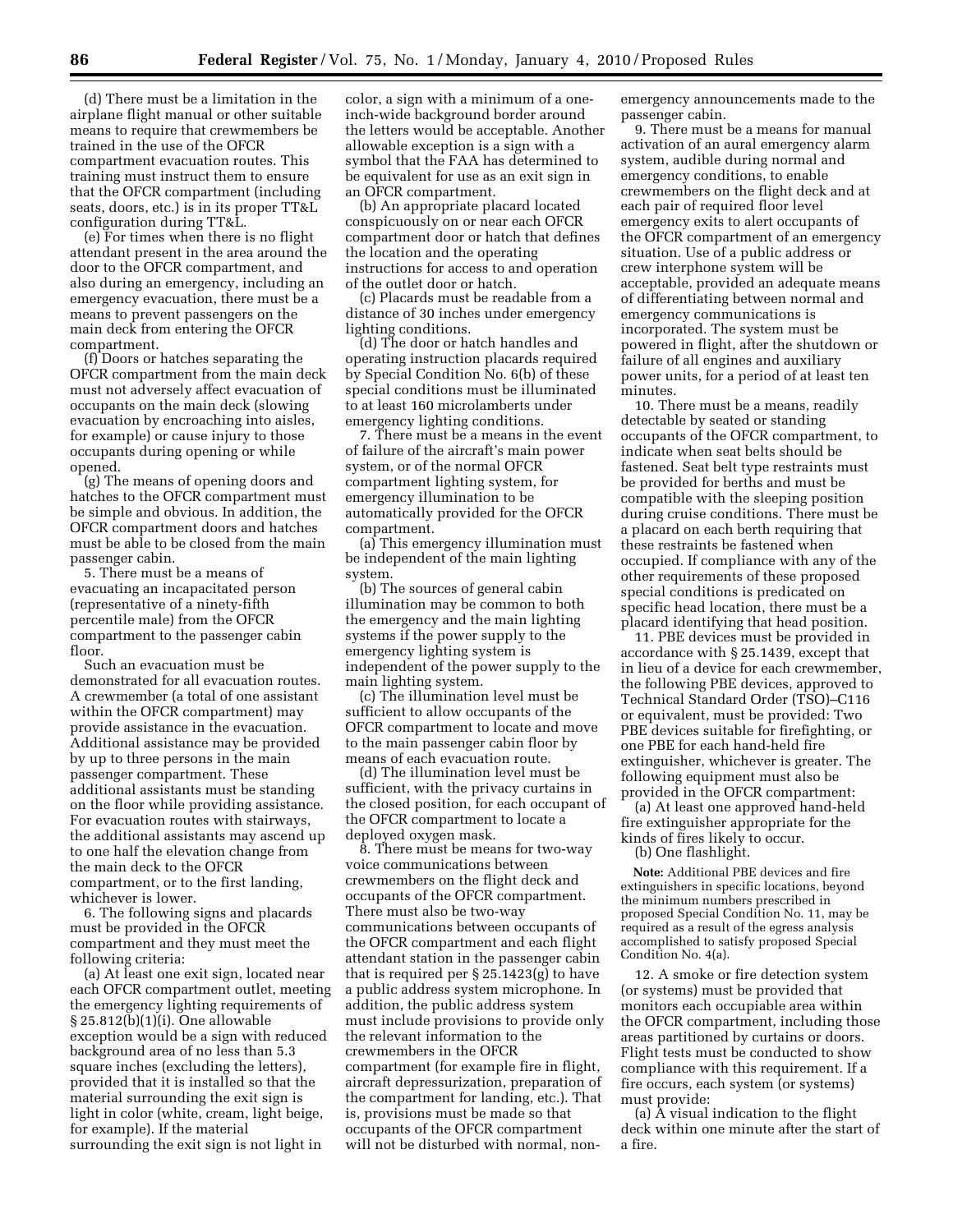(d) There must be a limitation in the airplane flight manual or other suitable means to require that crewmembers be trained in the use of the OFCR compartment evacuation routes. This training must instruct them to ensure that the OFCR compartment (including seats, doors, etc.) is in its proper TT&L configuration during TT&L.

(e) For times when there is no flight attendant present in the area around the door to the OFCR compartment, and also during an emergency, including an emergency evacuation, there must be a means to prevent passengers on the main deck from entering the OFCR compartment.

(f) Doors or hatches separating the OFCR compartment from the main deck must not adversely affect evacuation of occupants on the main deck (slowing evacuation by encroaching into aisles, for example) or cause injury to those occupants during opening or while opened.

(g) The means of opening doors and hatches to the OFCR compartment must be simple and obvious. In addition, the OFCR compartment doors and hatches must be able to be closed from the main passenger cabin.

5. There must be a means of evacuating an incapacitated person (representative of a ninety-fifth percentile male) from the OFCR compartment to the passenger cabin floor.

Such an evacuation must be demonstrated for all evacuation routes. A crewmember (a total of one assistant within the OFCR compartment) may provide assistance in the evacuation. Additional assistance may be provided by up to three persons in the main passenger compartment. These additional assistants must be standing on the floor while providing assistance. For evacuation routes with stairways, the additional assistants may ascend up to one half the elevation change from the main deck to the OFCR compartment, or to the first landing, whichever is lower.

6. The following signs and placards must be provided in the OFCR compartment and they must meet the following criteria:

(a) At least one exit sign, located near each OFCR compartment outlet, meeting the emergency lighting requirements of § 25.812(b)(1)(i). One allowable exception would be a sign with reduced background area of no less than 5.3 square inches (excluding the letters), provided that it is installed so that the material surrounding the exit sign is light in color (white, cream, light beige, for example). If the material surrounding the exit sign is not light in

color, a sign with a minimum of a oneinch-wide background border around the letters would be acceptable. Another allowable exception is a sign with a symbol that the FAA has determined to be equivalent for use as an exit sign in an OFCR compartment.

(b) An appropriate placard located conspicuously on or near each OFCR compartment door or hatch that defines the location and the operating instructions for access to and operation of the outlet door or hatch.

(c) Placards must be readable from a distance of 30 inches under emergency lighting conditions.

(d) The door or hatch handles and operating instruction placards required by Special Condition No. 6(b) of these special conditions must be illuminated to at least 160 microlamberts under emergency lighting conditions.

7. There must be a means in the event of failure of the aircraft's main power system, or of the normal OFCR compartment lighting system, for emergency illumination to be automatically provided for the OFCR compartment.

(a) This emergency illumination must be independent of the main lighting system.

(b) The sources of general cabin illumination may be common to both the emergency and the main lighting systems if the power supply to the emergency lighting system is independent of the power supply to the main lighting system.

(c) The illumination level must be sufficient to allow occupants of the OFCR compartment to locate and move to the main passenger cabin floor by means of each evacuation route.

(d) The illumination level must be sufficient, with the privacy curtains in the closed position, for each occupant of the OFCR compartment to locate a deployed oxygen mask.

8. There must be means for two-way voice communications between crewmembers on the flight deck and occupants of the OFCR compartment. There must also be two-way communications between occupants of the OFCR compartment and each flight attendant station in the passenger cabin that is required per § 25.1423(g) to have a public address system microphone. In addition, the public address system must include provisions to provide only the relevant information to the crewmembers in the OFCR compartment (for example fire in flight, aircraft depressurization, preparation of the compartment for landing, etc.). That is, provisions must be made so that occupants of the OFCR compartment will not be disturbed with normal, nonemergency announcements made to the passenger cabin.

9. There must be a means for manual activation of an aural emergency alarm system, audible during normal and emergency conditions, to enable crewmembers on the flight deck and at each pair of required floor level emergency exits to alert occupants of the OFCR compartment of an emergency situation. Use of a public address or crew interphone system will be acceptable, provided an adequate means of differentiating between normal and emergency communications is incorporated. The system must be powered in flight, after the shutdown or failure of all engines and auxiliary power units, for a period of at least ten minutes.

10. There must be a means, readily detectable by seated or standing occupants of the OFCR compartment, to indicate when seat belts should be fastened. Seat belt type restraints must be provided for berths and must be compatible with the sleeping position during cruise conditions. There must be a placard on each berth requiring that these restraints be fastened when occupied. If compliance with any of the other requirements of these proposed special conditions is predicated on specific head location, there must be a placard identifying that head position.

11. PBE devices must be provided in accordance with § 25.1439, except that in lieu of a device for each crewmember, the following PBE devices, approved to Technical Standard Order (TSO)–C116 or equivalent, must be provided: Two PBE devices suitable for firefighting, or one PBE for each hand-held fire extinguisher, whichever is greater. The following equipment must also be provided in the OFCR compartment:

(a) At least one approved hand-held fire extinguisher appropriate for the kinds of fires likely to occur.

(b) One flashlight.

**Note:** Additional PBE devices and fire extinguishers in specific locations, beyond the minimum numbers prescribed in proposed Special Condition No. 11, may be required as a result of the egress analysis accomplished to satisfy proposed Special Condition No. 4(a).

12. A smoke or fire detection system (or systems) must be provided that monitors each occupiable area within the OFCR compartment, including those areas partitioned by curtains or doors. Flight tests must be conducted to show compliance with this requirement. If a fire occurs, each system (or systems) must provide:

(a) A visual indication to the flight deck within one minute after the start of a fire.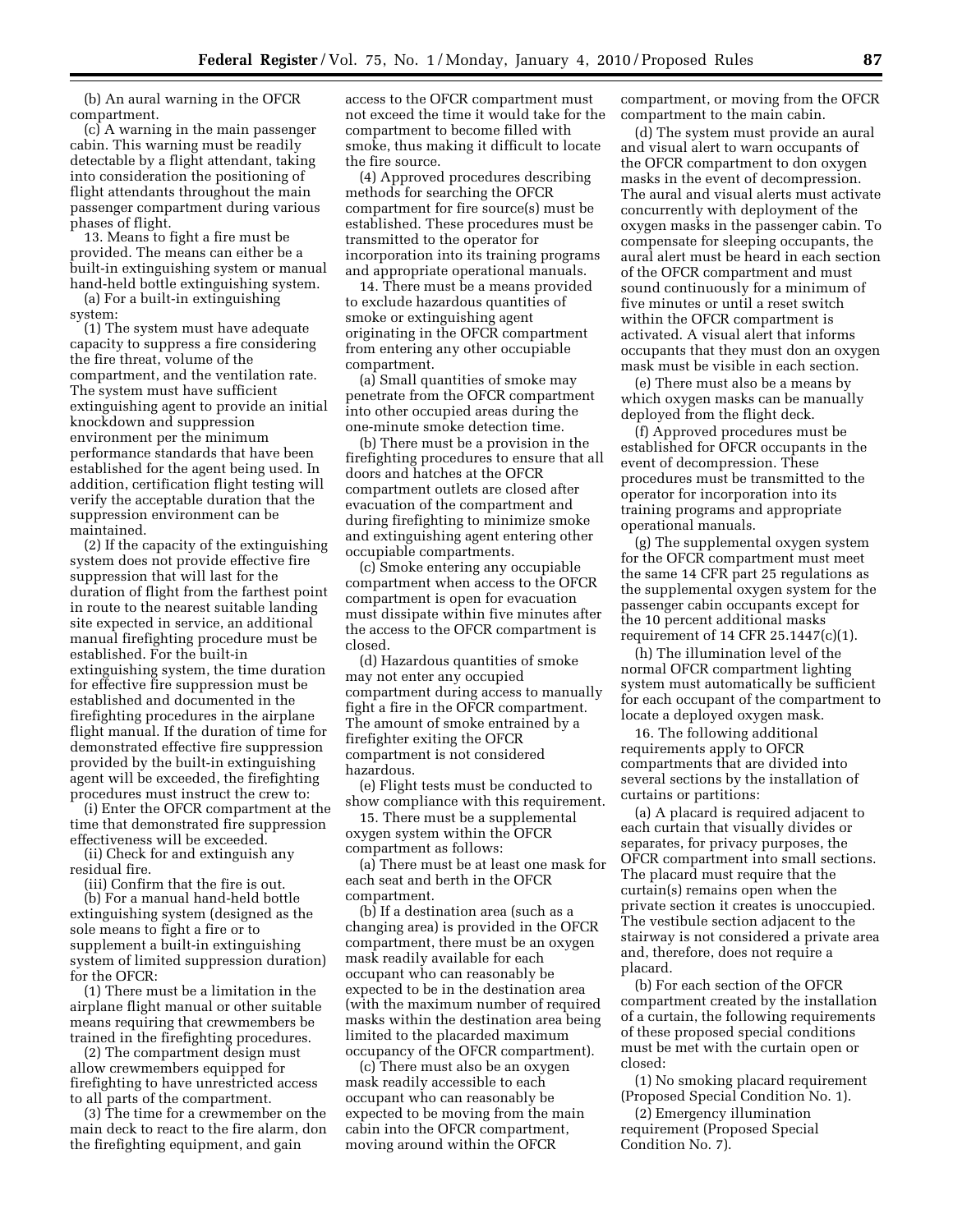(b) An aural warning in the OFCR compartment.

(c) A warning in the main passenger cabin. This warning must be readily detectable by a flight attendant, taking into consideration the positioning of flight attendants throughout the main passenger compartment during various phases of flight.

13. Means to fight a fire must be provided. The means can either be a built-in extinguishing system or manual hand-held bottle extinguishing system.

(a) For a built-in extinguishing system:

(1) The system must have adequate capacity to suppress a fire considering the fire threat, volume of the compartment, and the ventilation rate. The system must have sufficient extinguishing agent to provide an initial knockdown and suppression environment per the minimum performance standards that have been established for the agent being used. In addition, certification flight testing will verify the acceptable duration that the suppression environment can be maintained.

(2) If the capacity of the extinguishing system does not provide effective fire suppression that will last for the duration of flight from the farthest point in route to the nearest suitable landing site expected in service, an additional manual firefighting procedure must be established. For the built-in extinguishing system, the time duration for effective fire suppression must be established and documented in the firefighting procedures in the airplane flight manual. If the duration of time for demonstrated effective fire suppression provided by the built-in extinguishing agent will be exceeded, the firefighting procedures must instruct the crew to:

(i) Enter the OFCR compartment at the time that demonstrated fire suppression effectiveness will be exceeded.

(ii) Check for and extinguish any residual fire.

(iii) Confirm that the fire is out.

(b) For a manual hand-held bottle extinguishing system (designed as the sole means to fight a fire or to supplement a built-in extinguishing system of limited suppression duration) for the OFCR:

(1) There must be a limitation in the airplane flight manual or other suitable means requiring that crewmembers be trained in the firefighting procedures.

(2) The compartment design must allow crewmembers equipped for firefighting to have unrestricted access to all parts of the compartment.

(3) The time for a crewmember on the main deck to react to the fire alarm, don the firefighting equipment, and gain

access to the OFCR compartment must not exceed the time it would take for the compartment to become filled with smoke, thus making it difficult to locate the fire source.

(4) Approved procedures describing methods for searching the OFCR compartment for fire source(s) must be established. These procedures must be transmitted to the operator for incorporation into its training programs and appropriate operational manuals.

14. There must be a means provided to exclude hazardous quantities of smoke or extinguishing agent originating in the OFCR compartment from entering any other occupiable compartment.

(a) Small quantities of smoke may penetrate from the OFCR compartment into other occupied areas during the one-minute smoke detection time.

(b) There must be a provision in the firefighting procedures to ensure that all doors and hatches at the OFCR compartment outlets are closed after evacuation of the compartment and during firefighting to minimize smoke and extinguishing agent entering other occupiable compartments.

(c) Smoke entering any occupiable compartment when access to the OFCR compartment is open for evacuation must dissipate within five minutes after the access to the OFCR compartment is closed.

(d) Hazardous quantities of smoke may not enter any occupied compartment during access to manually fight a fire in the OFCR compartment. The amount of smoke entrained by a firefighter exiting the OFCR compartment is not considered hazardous.

(e) Flight tests must be conducted to show compliance with this requirement.

15. There must be a supplemental oxygen system within the OFCR compartment as follows:

(a) There must be at least one mask for each seat and berth in the OFCR compartment.

(b) If a destination area (such as a changing area) is provided in the OFCR compartment, there must be an oxygen mask readily available for each occupant who can reasonably be expected to be in the destination area (with the maximum number of required masks within the destination area being limited to the placarded maximum occupancy of the OFCR compartment).

(c) There must also be an oxygen mask readily accessible to each occupant who can reasonably be expected to be moving from the main cabin into the OFCR compartment, moving around within the OFCR

compartment, or moving from the OFCR compartment to the main cabin.

(d) The system must provide an aural and visual alert to warn occupants of the OFCR compartment to don oxygen masks in the event of decompression. The aural and visual alerts must activate concurrently with deployment of the oxygen masks in the passenger cabin. To compensate for sleeping occupants, the aural alert must be heard in each section of the OFCR compartment and must sound continuously for a minimum of five minutes or until a reset switch within the OFCR compartment is activated. A visual alert that informs occupants that they must don an oxygen mask must be visible in each section.

(e) There must also be a means by which oxygen masks can be manually deployed from the flight deck.

(f) Approved procedures must be established for OFCR occupants in the event of decompression. These procedures must be transmitted to the operator for incorporation into its training programs and appropriate operational manuals.

(g) The supplemental oxygen system for the OFCR compartment must meet the same 14 CFR part 25 regulations as the supplemental oxygen system for the passenger cabin occupants except for the 10 percent additional masks requirement of 14 CFR 25.1447(c)(1).

(h) The illumination level of the normal OFCR compartment lighting system must automatically be sufficient for each occupant of the compartment to locate a deployed oxygen mask.

16. The following additional requirements apply to OFCR compartments that are divided into several sections by the installation of curtains or partitions:

(a) A placard is required adjacent to each curtain that visually divides or separates, for privacy purposes, the OFCR compartment into small sections. The placard must require that the curtain(s) remains open when the private section it creates is unoccupied. The vestibule section adjacent to the stairway is not considered a private area and, therefore, does not require a placard.

(b) For each section of the OFCR compartment created by the installation of a curtain, the following requirements of these proposed special conditions must be met with the curtain open or closed:

(1) No smoking placard requirement (Proposed Special Condition No. 1).

(2) Emergency illumination requirement (Proposed Special Condition No. 7).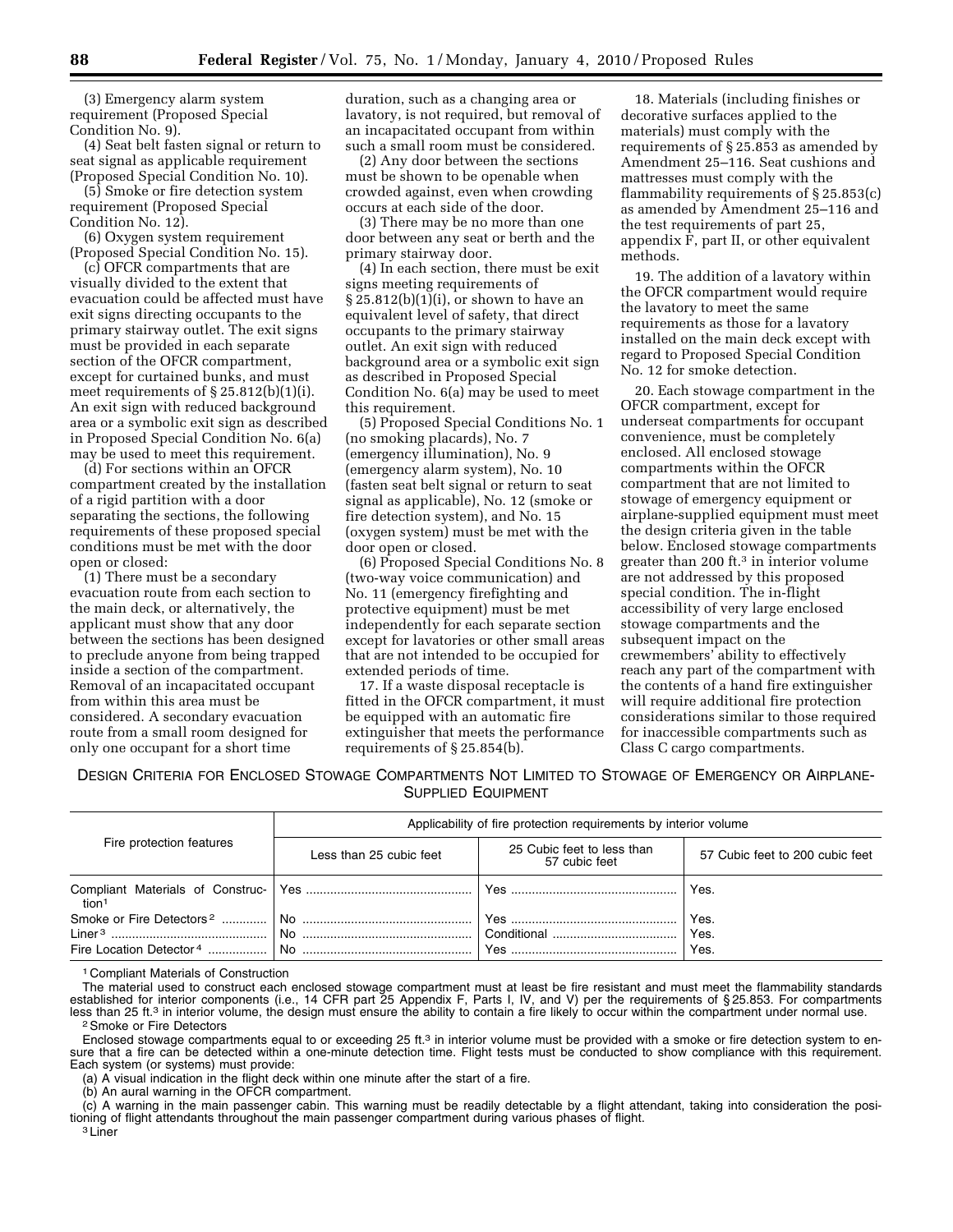(3) Emergency alarm system requirement (Proposed Special Condition No. 9).

(4) Seat belt fasten signal or return to seat signal as applicable requirement (Proposed Special Condition No. 10).

(5) Smoke or fire detection system requirement (Proposed Special Condition No. 12).

(6) Oxygen system requirement (Proposed Special Condition No. 15).

(c) OFCR compartments that are visually divided to the extent that evacuation could be affected must have exit signs directing occupants to the primary stairway outlet. The exit signs must be provided in each separate section of the OFCR compartment, except for curtained bunks, and must meet requirements of  $\S 25.812(b)(1)(i)$ . An exit sign with reduced background area or a symbolic exit sign as described in Proposed Special Condition No. 6(a) may be used to meet this requirement.

(d) For sections within an OFCR compartment created by the installation of a rigid partition with a door separating the sections, the following requirements of these proposed special conditions must be met with the door open or closed:

(1) There must be a secondary evacuation route from each section to the main deck, or alternatively, the applicant must show that any door between the sections has been designed to preclude anyone from being trapped inside a section of the compartment. Removal of an incapacitated occupant from within this area must be considered. A secondary evacuation route from a small room designed for only one occupant for a short time

duration, such as a changing area or lavatory, is not required, but removal of an incapacitated occupant from within such a small room must be considered.

(2) Any door between the sections must be shown to be openable when crowded against, even when crowding occurs at each side of the door.

(3) There may be no more than one door between any seat or berth and the primary stairway door.

(4) In each section, there must be exit signs meeting requirements of § 25.812(b)(1)(i), or shown to have an equivalent level of safety, that direct occupants to the primary stairway outlet. An exit sign with reduced background area or a symbolic exit sign as described in Proposed Special Condition No. 6(a) may be used to meet this requirement.

(5) Proposed Special Conditions No. 1 (no smoking placards), No. 7 (emergency illumination), No. 9 (emergency alarm system), No. 10 (fasten seat belt signal or return to seat signal as applicable), No. 12 (smoke or fire detection system), and No. 15 (oxygen system) must be met with the door open or closed.

(6) Proposed Special Conditions No. 8 (two-way voice communication) and No. 11 (emergency firefighting and protective equipment) must be met independently for each separate section except for lavatories or other small areas that are not intended to be occupied for extended periods of time.

17. If a waste disposal receptacle is fitted in the OFCR compartment, it must be equipped with an automatic fire extinguisher that meets the performance requirements of § 25.854(b).

18. Materials (including finishes or decorative surfaces applied to the materials) must comply with the requirements of § 25.853 as amended by Amendment 25–116. Seat cushions and mattresses must comply with the flammability requirements of § 25.853(c) as amended by Amendment 25–116 and the test requirements of part 25, appendix F, part II, or other equivalent methods.

19. The addition of a lavatory within the OFCR compartment would require the lavatory to meet the same requirements as those for a lavatory installed on the main deck except with regard to Proposed Special Condition No. 12 for smoke detection.

20. Each stowage compartment in the OFCR compartment, except for underseat compartments for occupant convenience, must be completely enclosed. All enclosed stowage compartments within the OFCR compartment that are not limited to stowage of emergency equipment or airplane-supplied equipment must meet the design criteria given in the table below. Enclosed stowage compartments greater than 200 ft.3 in interior volume are not addressed by this proposed special condition. The in-flight accessibility of very large enclosed stowage compartments and the subsequent impact on the crewmembers' ability to effectively reach any part of the compartment with the contents of a hand fire extinguisher will require additional fire protection considerations similar to those required for inaccessible compartments such as Class C cargo compartments.

DESIGN CRITERIA FOR ENCLOSED STOWAGE COMPARTMENTS NOT LIMITED TO STOWAGE OF EMERGENCY OR AIRPLANE-SUPPLIED EQUIPMENT

| Fire protection features                                                    | Applicability of fire protection requirements by interior volume |                                             |                                 |  |
|-----------------------------------------------------------------------------|------------------------------------------------------------------|---------------------------------------------|---------------------------------|--|
|                                                                             | Less than 25 cubic feet                                          | 25 Cubic feet to less than<br>57 cubic feet | 57 Cubic feet to 200 cubic feet |  |
| tion1                                                                       |                                                                  |                                             | Yes.                            |  |
| Smoke or Fire Detectors <sup>2</sup><br>Fire Location Detector <sup>4</sup> | l No<br>$\overline{\mathsf{No}}$                                 | $'$ Yes.                                    | Yes.<br>Yes.<br>Yes.            |  |

1 Compliant Materials of Construction

The material used to construct each enclosed stowage compartment must at least be fire resistant and must meet the flammability standards established for interior components (i.e., 14 CFR part 25 Appendix F, Parts I, IV, and V) per the requirements of §25.853. For compartments<br>less than 25 ft.<sup>3</sup> in interior volume, the design must ensure the ability to cont

Enclosed stowage compartments equal to or exceeding 25 ft.<sup>3</sup> in interior volume must be provided with a smoke or fire detection system to ensure that a fire can be detected within a one-minute detection time. Flight tests must be conducted to show compliance with this requirement. Each system (or systems) must provide:

(a) A visual indication in the flight deck within one minute after the start of a fire.

(b) An aural warning in the OFCR compartment.

(c) A warning in the main passenger cabin. This warning must be readily detectable by a flight attendant, taking into consideration the positioning of flight attendants throughout the main passenger compartment during various phases of flight.<br><sup>3</sup> Liner